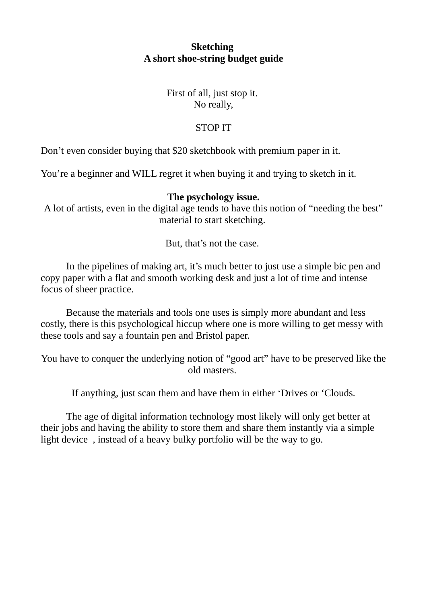## **Sketching A short shoe-string budget guide**

## First of all, just stop it. No really,

## STOP IT

Don't even consider buying that \$20 sketchbook with premium paper in it.

You're a beginner and WILL regret it when buying it and trying to sketch in it.

## **The psychology issue.**

A lot of artists, even in the digital age tends to have this notion of "needing the best" material to start sketching.

But, that's not the case.

In the pipelines of making art, it's much better to just use a simple bic pen and copy paper with a flat and smooth working desk and just a lot of time and intense focus of sheer practice.

Because the materials and tools one uses is simply more abundant and less costly, there is this psychological hiccup where one is more willing to get messy with these tools and say a fountain pen and Bristol paper.

You have to conquer the underlying notion of "good art" have to be preserved like the old masters.

If anything, just scan them and have them in either 'Drives or 'Clouds.

The age of digital information technology most likely will only get better at their jobs and having the ability to store them and share them instantly via a simple light device , instead of a heavy bulky portfolio will be the way to go.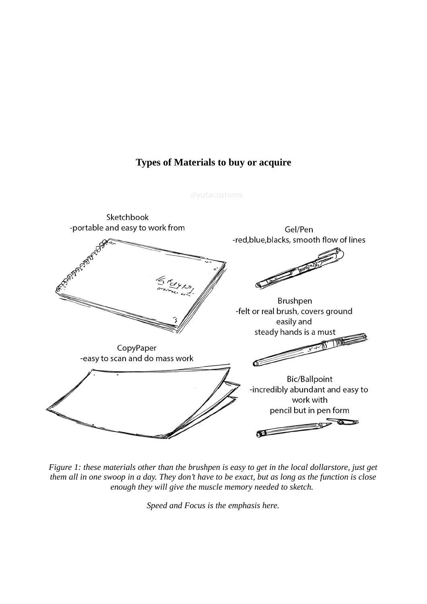## **Types of Materials to buy or acquire**



*Figure 1: these materials other than the brushpen is easy to get in the local dollarstore, just get them all in one swoop in a day. They don't have to be exact, but as long as the function is close enough they will give the muscle memory needed to sketch.* 

*Speed and Focus is the emphasis here.*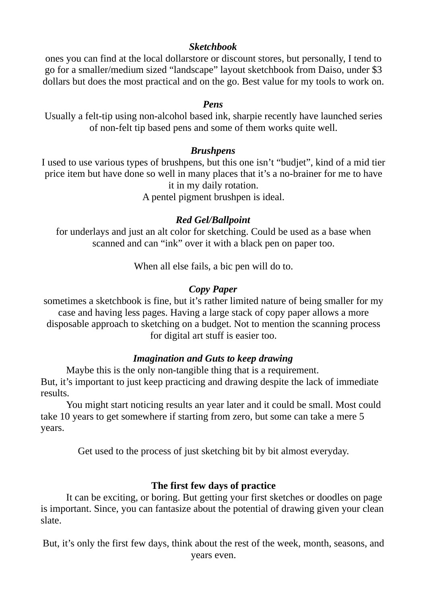### *Sketchbook*

ones you can find at the local dollarstore or discount stores, but personally, I tend to go for a smaller/medium sized "landscape" layout sketchbook from Daiso, under \$3 dollars but does the most practical and on the go. Best value for my tools to work on.

### *Pens*

Usually a felt-tip using non-alcohol based ink, sharpie recently have launched series of non-felt tip based pens and some of them works quite well.

#### *Brushpens*

I used to use various types of brushpens, but this one isn't "budjet", kind of a mid tier price item but have done so well in many places that it's a no-brainer for me to have it in my daily rotation.

A pentel pigment brushpen is ideal.

## *Red Gel/Ballpoint*

for underlays and just an alt color for sketching. Could be used as a base when scanned and can "ink" over it with a black pen on paper too.

When all else fails, a bic pen will do to.

## *Copy Paper*

sometimes a sketchbook is fine, but it's rather limited nature of being smaller for my case and having less pages. Having a large stack of copy paper allows a more disposable approach to sketching on a budget. Not to mention the scanning process for digital art stuff is easier too.

# *Imagination and Guts to keep drawing*

Maybe this is the only non-tangible thing that is a requirement. But, it's important to just keep practicing and drawing despite the lack of immediate results.

You might start noticing results an year later and it could be small. Most could take 10 years to get somewhere if starting from zero, but some can take a mere 5 years.

Get used to the process of just sketching bit by bit almost everyday.

# **The first few days of practice**

It can be exciting, or boring. But getting your first sketches or doodles on page is important. Since, you can fantasize about the potential of drawing given your clean slate.

But, it's only the first few days, think about the rest of the week, month, seasons, and years even.